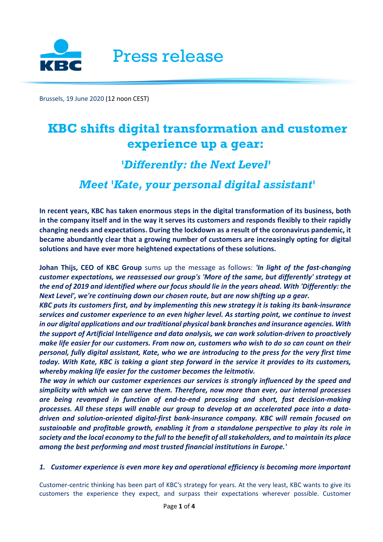

Brussels, 19 June 2020 (12 noon CEST)

# **KBC shifts digital transformation and customer experience up a gear:**

# *'Differently: the Next Level'*

## *Meet 'Kate, your personal digital assistant'*

**In recent years, KBC has taken enormous steps in the digital transformation of its business, both in the company itself and in the way it serves its customers and responds flexibly to their rapidly changing needs and expectations. During the lockdown as a result of the coronavirus pandemic, it became abundantly clear that a growing number of customers are increasingly opting for digital solutions and have ever more heightened expectations of these solutions.**

**Johan Thijs, CEO of KBC Group** sums up the message as follows: *'In light of the fast-changing customer expectations, we reassessed our group's 'More of the same, but differently' strategy at the end of 2019 and identified where our focus should lie in the years ahead. With 'Differently: the Next Level', we're continuing down our chosen route, but are now shifting up a gear.*

*KBC puts its customers first, and by implementing this new strategy it is taking its bank-insurance services and customer experience to an even higher level. As starting point, we continue to invest in our digital applications and our traditional physical bank branches and insurance agencies. With the support of Artificial Intelligence and data analysis, we can work solution-driven to proactively make life easier for our customers. From now on, customers who wish to do so can count on their personal, fully digital assistant, Kate, who we are introducing to the press for the very first time today. With Kate, KBC is taking a giant step forward in the service it provides to its customers, whereby making life easier for the customer becomes the leitmotiv.* 

*The way in which our customer experiences our services is strongly influenced by the speed and simplicity with which we can serve them. Therefore, now more than ever, our internal processes are being revamped in function of end-to-end processing and short, fast decision-making processes. All these steps will enable our group to develop at an accelerated pace into a datadriven and solution-oriented digital-first bank-insurance company. KBC will remain focused on sustainable and profitable growth, enabling it from a standalone perspective to play its role in society and the local economy to the full to the benefit of all stakeholders, and to maintain its place among the best performing and most trusted financial institutions in Europe.'*

#### *1. Customer experience is even more key and operational efficiency is becoming more important*

Customer-centric thinking has been part of KBC's strategy for years. At the very least, KBC wants to give its customers the experience they expect, and surpass their expectations wherever possible. Customer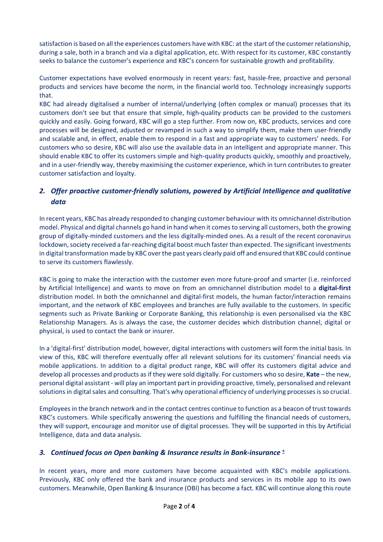satisfaction is based on all the experiences customers have with KBC: at the start of the customer relationship, during a sale, both in a branch and via a digital application, etc. With respect for its customer, KBC constantly seeks to balance the customer's experience and KBC's concern for sustainable growth and profitability.

Customer expectations have evolved enormously in recent years: fast, hassle-free, proactive and personal products and services have become the norm, in the financial world too. Technology increasingly supports that.

KBC had already digitalised a number of internal/underlying (often complex or manual) processes that its customers don't see but that ensure that simple, high-quality products can be provided to the customers quickly and easily. Going forward, KBC will go a step further. From now on, KBC products, services and core processes will be designed, adjusted or revamped in such a way to simplify them, make them user-friendly and scalable and, in effect, enable them to respond in a fast and appropriate way to customers' needs. For customers who so desire, KBC will also use the available data in an intelligent and appropriate manner. This should enable KBC to offer its customers simple and high-quality products quickly, smoothly and proactively, and in a user-friendly way, thereby maximising the customer experience, which in turn contributes to greater customer satisfaction and loyalty.

### *2. Offer proactive customer-friendly solutions, powered by Artificial Intelligence and qualitative data*

In recent years, KBC has already responded to changing customer behaviour with its omnichannel distribution model. Physical and digital channels go hand in hand when it comesto serving all customers, both the growing group of digitally-minded customers and the less digitally-minded ones. As a result of the recent coronavirus lockdown, society received a far-reaching digital boost much faster than expected. The significant investments in digital transformation made by KBC over the past years clearly paid off and ensured that KBC could continue to serve its customers flawlessly.

KBC is going to make the interaction with the customer even more future-proof and smarter (i.e. reinforced by Artificial Intelligence) and wants to move on from an omnichannel distribution model to a **digital-first** distribution model. In both the omnichannel and digital-first models, the human factor/interaction remains important, and the network of KBC employees and branches are fully available to the customers. In specific segments such as Private Banking or Corporate Banking, this relationship is even personalised via the KBC Relationship Managers. As is always the case, the customer decides which distribution channel, digital or physical, is used to contact the bank or insurer.

In a 'digital-first' distribution model, however, digital interactions with customers will form the initial basis. In view of this, KBC will therefore eventually offer all relevant solutions for its customers' financial needs via mobile applications. In addition to a digital product range, KBC will offer its customers digital advice and develop all processes and products asif they were sold digitally. For customers who so desire, **Kate** – the new, personal digital assistant - will play an important part in providing proactive, timely, personalised and relevant solutions in digital sales and consulting. That's why operational efficiency of underlying processes is so crucial.

Employees in the branch network and in the contact centres continue to function as a beacon of trust towards KBC's customers. While specifically answering the questions and fulfilling the financial needs of customers, they will support, encourage and monitor use of digital processes. They will be supported in this by Artificial Intelligence, data and data analysis.

#### *3. Continued focus on Open banking & Insurance results in Bank-insurance <sup>+</sup>*

In recent years, more and more customers have become acquainted with KBC's mobile applications. Previously, KBC only offered the bank and insurance products and services in its mobile app to its own customers. Meanwhile, Open Banking & Insurance (OBI) has become a fact. KBC will continue along this route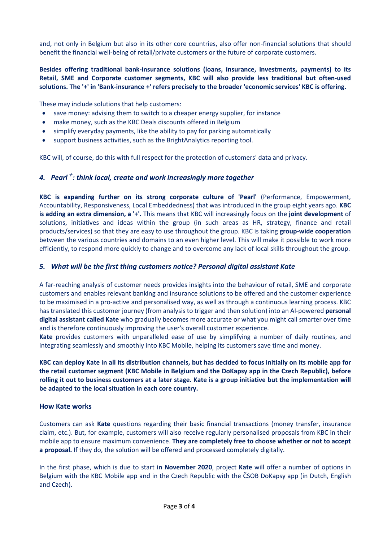and, not only in Belgium but also in its other core countries, also offer non-financial solutions that should benefit the financial well-being of retail/private customers or the future of corporate customers.

#### **Besides offering traditional bank-insurance solutions (loans, insurance, investments, payments) to its Retail, SME and Corporate customer segments, KBC will also provide less traditional but often-used solutions. The '+' in 'Bank-insurance +' refers precisely to the broader 'economic services' KBC is offering.**

These may include solutions that help customers:

- save money: advising them to switch to a cheaper energy supplier, for instance
- make money, such as the KBC Deals discounts offered in Belgium
- simplify everyday payments, like the ability to pay for parking automatically
- support business activities, such as the BrightAnalytics reporting tool.

KBC will, of course, do this with full respect for the protection of customers' data and privacy.

#### *4. Pearl +: think local, create and work increasingly more together*

**KBC is expanding further on its strong corporate culture of 'Pearl'** (Performance, Empowerment, Accountability, Responsiveness, Local Embeddedness) that was introduced in the group eight years ago. **KBC is adding an extra dimension, a '+'.** This means that KBC will increasingly focus on the **joint development** of solutions, initiatives and ideas within the group (in such areas as HR, strategy, finance and retail products/services) so that they are easy to use throughout the group. KBC is taking **group-wide cooperation** between the various countries and domains to an even higher level. This will make it possible to work more efficiently, to respond more quickly to change and to overcome any lack of local skills throughout the group.

#### *5. What will be the first thing customers notice? Personal digital assistant Kate*

A far-reaching analysis of customer needs provides insights into the behaviour of retail, SME and corporate customers and enables relevant banking and insurance solutions to be offered and the customer experience to be maximised in a pro-active and personalised way, as well as through a continuous learning process. KBC has translated this customer journey (from analysis to trigger and then solution) into an AI-powered **personal digital assistant called Kate** who gradually becomes more accurate or what you might call smarter over time and is therefore continuously improving the user's overall customer experience.

**Kate** provides customers with unparalleled ease of use by simplifying a number of daily routines, and integrating seamlessly and smoothly into KBC Mobile, helping its customers save time and money.

**KBC can deploy Kate in all its distribution channels, but has decided to focus initially on its mobile app for the retail customer segment (KBC Mobile in Belgium and the DoKapsy app in the Czech Republic), before rolling it out to business customers at a later stage. Kate is a group initiative but the implementation will be adapted to the local situation in each core country.**

#### **How Kate works**

Customers can ask **Kate** questions regarding their basic financial transactions (money transfer, insurance claim, etc.). But, for example, customers will also receive regularly personalised proposals from KBC in their mobile app to ensure maximum convenience. **They are completely free to choose whether or not to accept a proposal.** If they do, the solution will be offered and processed completely digitally.

In the first phase, which is due to start **in November 2020**, project **Kate** will offer a number of options in Belgium with the KBC Mobile app and in the Czech Republic with the ČSOB DoKapsy app (in Dutch, English and Czech).